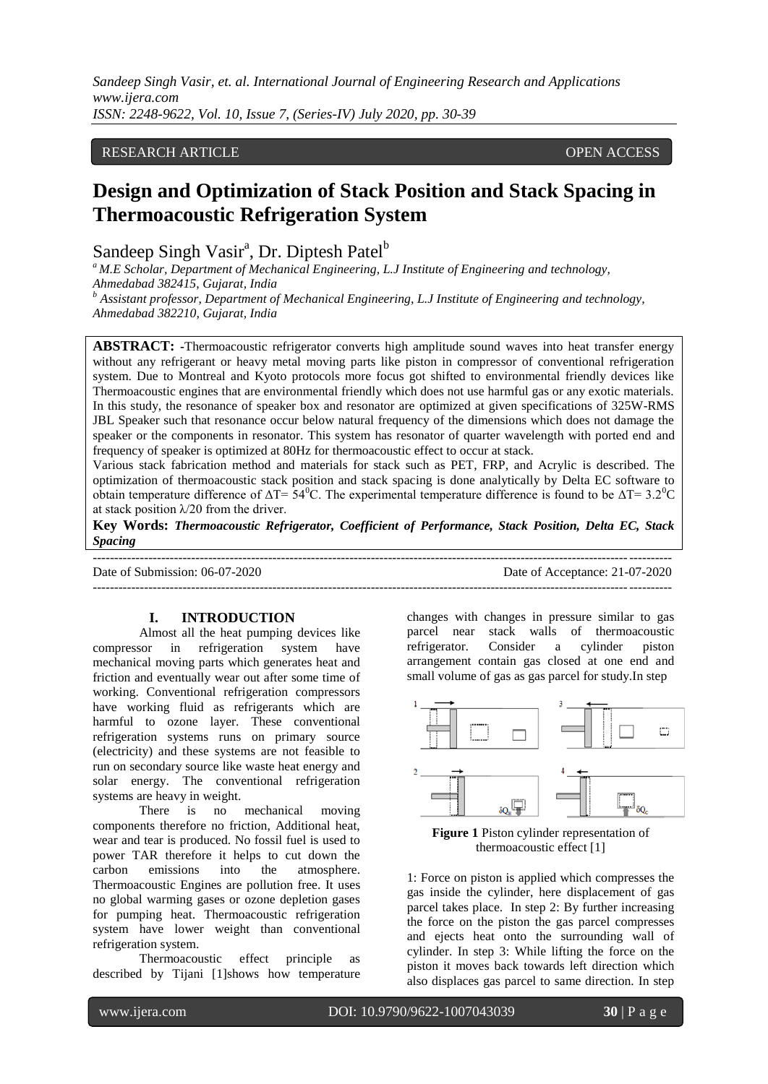# RESEARCH ARTICLE **CONSERVERS** OPEN ACCESS

# **Design and Optimization of Stack Position and Stack Spacing in Thermoacoustic Refrigeration System**

# Sandeep Singh Vasir<sup>a</sup>, Dr. Diptesh Patel<sup>b</sup>

*<sup>a</sup>M.E Scholar, Department of Mechanical Engineering, L.J Institute of Engineering and technology, Ahmedabad 382415, Gujarat, India*

*<sup>b</sup> Assistant professor, Department of Mechanical Engineering, L.J Institute of Engineering and technology, Ahmedabad 382210, Gujarat, India*

**ABSTRACT: -**Thermoacoustic refrigerator converts high amplitude sound waves into heat transfer energy without any refrigerant or heavy metal moving parts like piston in compressor of conventional refrigeration system. Due to Montreal and Kyoto protocols more focus got shifted to environmental friendly devices like Thermoacoustic engines that are environmental friendly which does not use harmful gas or any exotic materials. In this study, the resonance of speaker box and resonator are optimized at given specifications of 325W-RMS JBL Speaker such that resonance occur below natural frequency of the dimensions which does not damage the speaker or the components in resonator. This system has resonator of quarter wavelength with ported end and frequency of speaker is optimized at 80Hz for thermoacoustic effect to occur at stack.

Various stack fabrication method and materials for stack such as PET, FRP, and Acrylic is described. The optimization of thermoacoustic stack position and stack spacing is done analytically by Delta EC software to obtain temperature difference of  $\Delta T = 54^{\circ}$ C. The experimental temperature difference is found to be  $\Delta T = 3.2^{\circ}$ C at stack position  $\lambda$ /20 from the driver.

**Key Words:** *Thermoacoustic Refrigerator, Coefficient of Performance, Stack Position, Delta EC, Stack Spacing* ---------------------------------------------------------------------------------------------------------------------------------------

---------------------------------------------------------------------------------------------------------------------------------------

Date of Submission: 06-07-2020 Date of Acceptance: 21-07-2020

## **I. INTRODUCTION**

Almost all the heat pumping devices like compressor in refrigeration system have mechanical moving parts which generates heat and friction and eventually wear out after some time of working. Conventional refrigeration compressors have working fluid as refrigerants which are harmful to ozone layer. These conventional refrigeration systems runs on primary source (electricity) and these systems are not feasible to run on secondary source like waste heat energy and solar energy. The conventional refrigeration systems are heavy in weight.

There is no mechanical moving components therefore no friction, Additional heat, wear and tear is produced. No fossil fuel is used to power TAR therefore it helps to cut down the carbon emissions into the atmosphere. Thermoacoustic Engines are pollution free. It uses no global warming gases or ozone depletion gases for pumping heat. Thermoacoustic refrigeration system have lower weight than conventional refrigeration system.

Thermoacoustic effect principle as described by Tijani [1]shows how temperature changes with changes in pressure similar to gas parcel near stack walls of thermoacoustic refrigerator. Consider a cylinder piston arrangement contain gas closed at one end and small volume of gas as gas parcel for study.In step





1: Force on piston is applied which compresses the gas inside the cylinder, here displacement of gas parcel takes place. In step 2: By further increasing the force on the piston the gas parcel compresses and ejects heat onto the surrounding wall of cylinder. In step 3: While lifting the force on the piston it moves back towards left direction which also displaces gas parcel to same direction. In step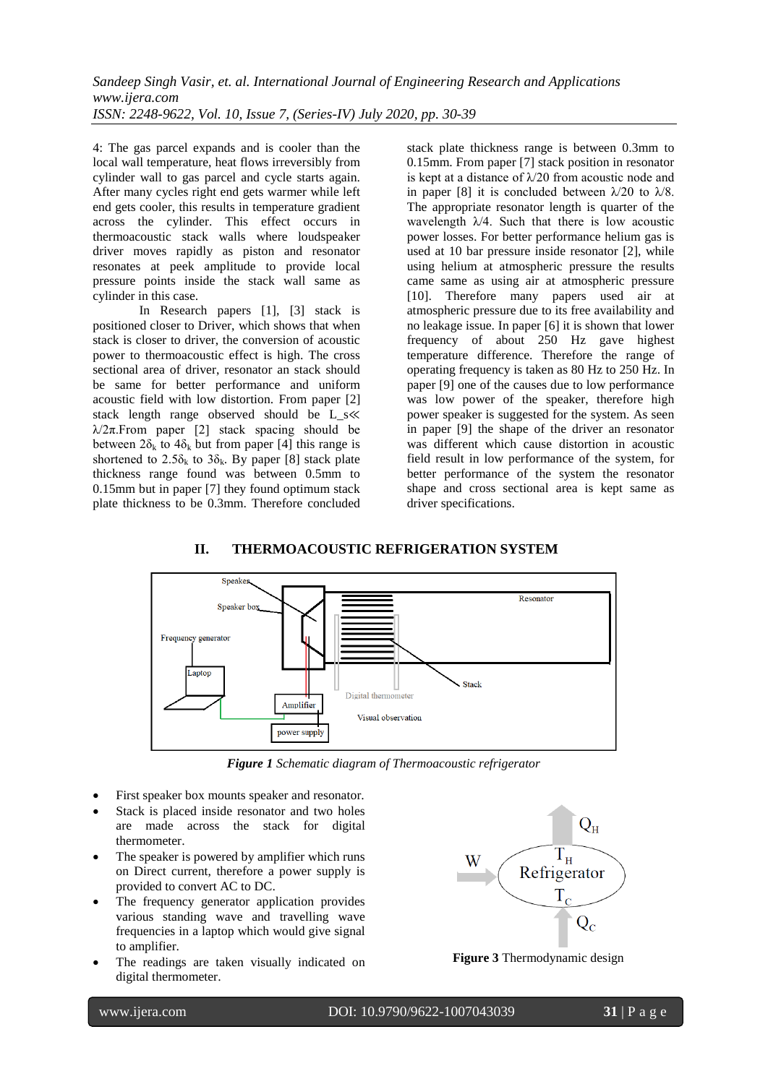4: The gas parcel expands and is cooler than the local wall temperature, heat flows irreversibly from cylinder wall to gas parcel and cycle starts again. After many cycles right end gets warmer while left end gets cooler, this results in temperature gradient across the cylinder. This effect occurs in thermoacoustic stack walls where loudspeaker driver moves rapidly as piston and resonator resonates at peek amplitude to provide local pressure points inside the stack wall same as cylinder in this case.

In Research papers [1], [3] stack is positioned closer to Driver, which shows that when stack is closer to driver, the conversion of acoustic power to thermoacoustic effect is high. The cross sectional area of driver, resonator an stack should be same for better performance and uniform acoustic field with low distortion. From paper [2] stack length range observed should be L\_s≪  $\lambda/2\pi$ . From paper [2] stack spacing should be between  $2\delta_k$  to  $4\delta_k$  but from paper [4] this range is shortened to  $2.5\delta_k$  to  $3\delta_k$ . By paper [8] stack plate thickness range found was between 0.5mm to 0.15mm but in paper [7] they found optimum stack plate thickness to be 0.3mm. Therefore concluded stack plate thickness range is between 0.3mm to 0.15mm. From paper [7] stack position in resonator is kept at a distance of  $\lambda$ /20 from acoustic node and in paper [8] it is concluded between  $\lambda/20$  to  $\lambda/8$ . The appropriate resonator length is quarter of the wavelength  $\lambda$ /4. Such that there is low acoustic power losses. For better performance helium gas is used at 10 bar pressure inside resonator [2], while using helium at atmospheric pressure the results came same as using air at atmospheric pressure [10]. Therefore many papers used air at atmospheric pressure due to its free availability and no leakage issue. In paper [6] it is shown that lower frequency of about 250 Hz gave highest temperature difference. Therefore the range of operating frequency is taken as 80 Hz to 250 Hz. In paper [9] one of the causes due to low performance was low power of the speaker, therefore high power speaker is suggested for the system. As seen in paper [9] the shape of the driver an resonator was different which cause distortion in acoustic field result in low performance of the system, for better performance of the system the resonator shape and cross sectional area is kept same as driver specifications.

# **II. THERMOACOUSTIC REFRIGERATION SYSTEM**



*Figure 1 Schematic diagram of Thermoacoustic refrigerator*

- First speaker box mounts speaker and resonator.
- Stack is placed inside resonator and two holes are made across the stack for digital thermometer.
- The speaker is powered by amplifier which runs on Direct current, therefore a power supply is provided to convert AC to DC.
- The frequency generator application provides various standing wave and travelling wave frequencies in a laptop which would give signal to amplifier.
- The readings are taken visually indicated on digital thermometer.



**Figure 3** Thermodynamic design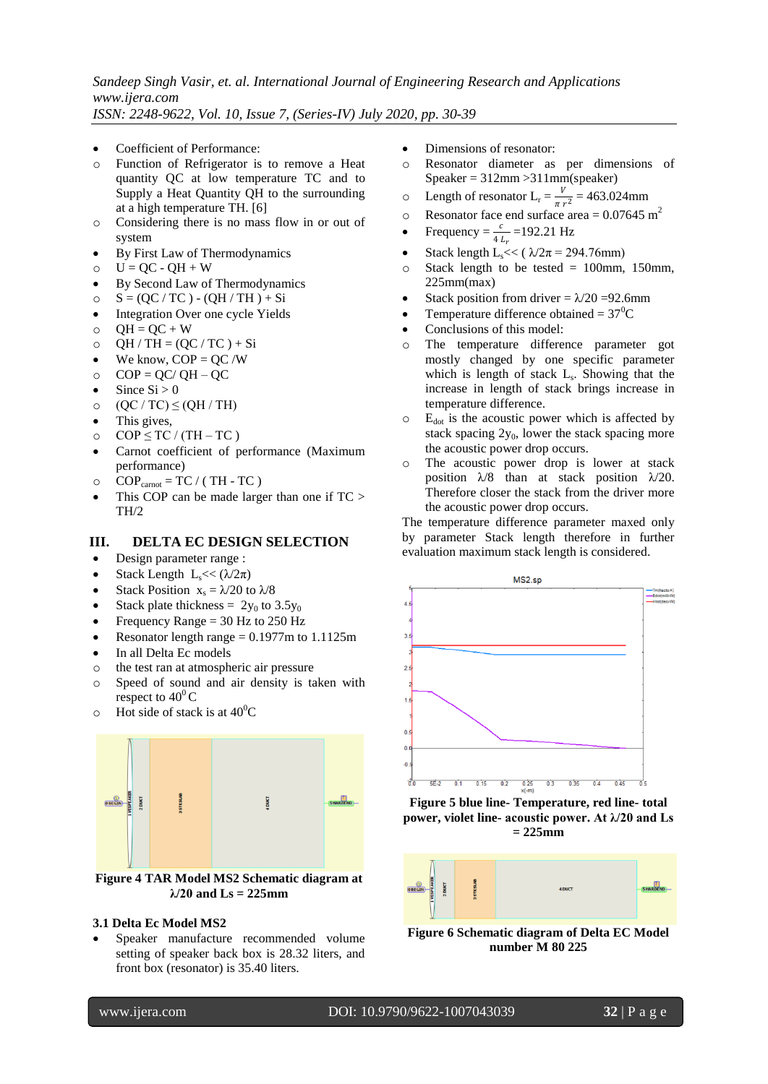- Coefficient of Performance:
- o Function of Refrigerator is to remove a Heat quantity QC at low temperature TC and to Supply a Heat Quantity QH to the surrounding at a high temperature TH. [6]
- o Considering there is no mass flow in or out of system
- By First Law of Thermodynamics
- $O$   $U = QC QH + W$
- By Second Law of Thermodynamics
- $\circ$   $S = (QC / TC) (QH / TH) + Si$
- Integration Over one cycle Yields
- $O = OH = OC + W$
- $QH / TH = (QC / TC) + Si$
- $\bullet$  We know, COP = QC /W
- $O$  COP = QC/ QH QC
- $\bullet$  Since Si > 0
- o  $(QC / TC) \leq (QH / TH)$
- This gives,
- o  $COP \le TC / (TH TC)$
- Carnot coefficient of performance (Maximum performance)
- $\circ$  COP<sub>carnot</sub> = TC / (TH TC)
- This COP can be made larger than one if TC > TH/2

# **III. DELTA EC DESIGN SELECTION**

- Design parameter range :
- Stack Length  $L_s \ll (\lambda/2\pi)$
- Stack Position  $x_s = \lambda/20$  to  $\lambda/8$
- Stack plate thickness =  $2y_0$  to 3.5y<sub>0</sub>
- Frequency Range = 30 Hz to 250 Hz
- Resonator length range  $= 0.1977$ m to 1.1125m
- In all Delta Ec models
- o the test ran at atmospheric air pressure
- o Speed of sound and air density is taken with respect to  $40^{\circ}$ C
- $\circ$  Hot side of stack is at 40<sup>°</sup>C



**Figure 4 TAR Model MS2 Schematic diagram at λ/20 and Ls = 225mm**

#### **3.1 Delta Ec Model MS2**

 Speaker manufacture recommended volume setting of speaker back box is 28.32 liters, and front box (resonator) is 35.40 liters.

- Dimensions of resonator:
- o Resonator diameter as per dimensions of Speaker = 312mm >311mm(speaker)
- $\circ$  Length of resonator  $L_r = \frac{v}{\pi r}$  $\frac{v}{\pi r^2}$  = 463.024mm
- o Resonator face end surface area =  $0.07645 \text{ m}^2$
- Frequency =  $\frac{c}{4 L_r}$  = 192.21 Hz
- Stack length L<sub>s</sub> $<<$  ( $\lambda/2\pi$  = 294.76mm)
- $\circ$  Stack length to be tested = 100mm, 150mm, 225mm(max)
- Stack position from driver =  $\lambda$ /20 = 92.6mm
- Temperature difference obtained =  $37^0C$
- Conclusions of this model:
- o The temperature difference parameter got mostly changed by one specific parameter which is length of stack  $L_s$ . Showing that the increase in length of stack brings increase in temperature difference.
- $\circ$  E<sub>dot</sub> is the acoustic power which is affected by stack spacing  $2y_0$ , lower the stack spacing more the acoustic power drop occurs.
- o The acoustic power drop is lower at stack position  $\lambda$ /8 than at stack position  $\lambda$ /20. Therefore closer the stack from the driver more the acoustic power drop occurs.

The temperature difference parameter maxed only by parameter Stack length therefore in further evaluation maximum stack length is considered.



**Figure 5 blue line- Temperature, red line- total power, violet line- acoustic power. At λ/20 and Ls = 225mm**



**Figure 6 Schematic diagram of Delta EC Model number M 80 225**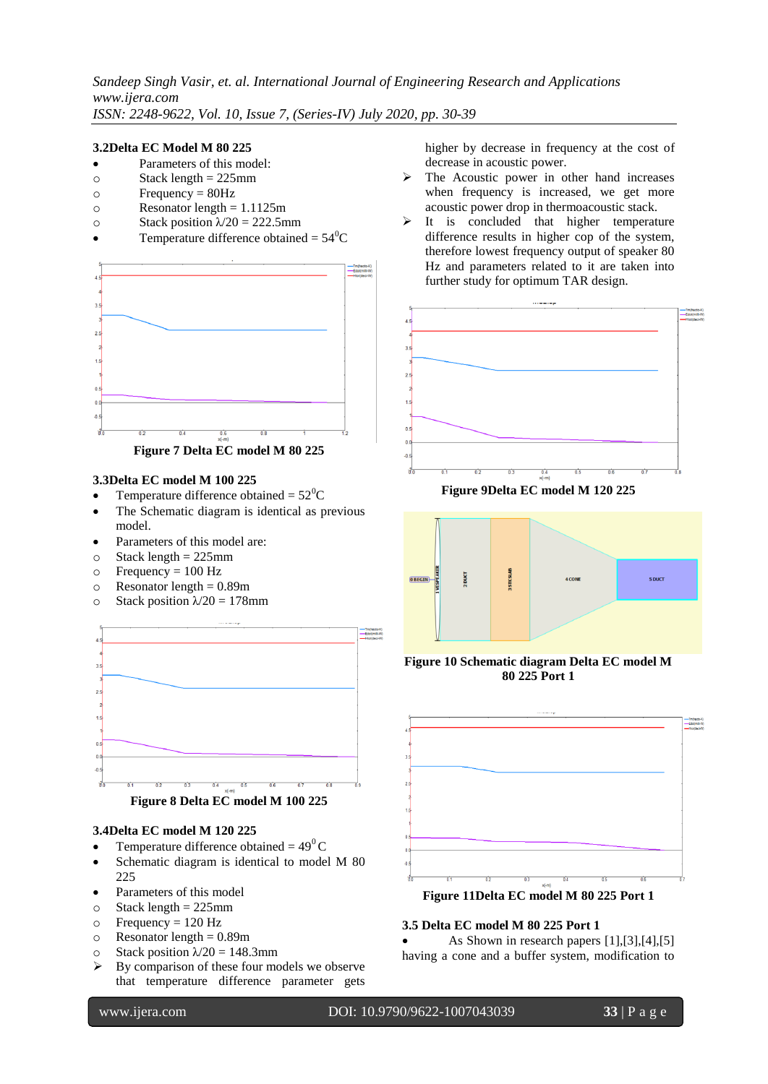## **3.2Delta EC Model M 80 225**

- Parameters of this model:
- $\circ$  Stack length = 225mm
- $\circ$  Frequency = 80Hz
- $\circ$  Resonator length = 1.1125m
- o Stack position  $\lambda/20 = 222.5$ mm
- Temperature difference obtained =  $54^{\circ}$ C



#### **3.3Delta EC model M 100 225**

- Temperature difference obtained =  $52^{\circ}$ C
- The Schematic diagram is identical as previous model.
- Parameters of this model are:
- $\circ$  Stack length = 225mm
- $\circ$  Frequency = 100 Hz
- $\circ$  Resonator length = 0.89m
- o Stack position  $\lambda/20 = 178$ mm





#### **3.4Delta EC model M 120 225**

- Temperature difference obtained =  $49^{\circ}$ C
- Schematic diagram is identical to model M 80 225
- Parameters of this model
- $\circ$  Stack length = 225mm
- $\circ$  Frequency = 120 Hz
- $\circ$  Resonator length = 0.89m
- o Stack position  $\lambda/20 = 148.3$ mm
- $\triangleright$  By comparison of these four models we observe that temperature difference parameter gets

higher by decrease in frequency at the cost of decrease in acoustic power.

- $\triangleright$  The Acoustic power in other hand increases when frequency is increased, we get more acoustic power drop in thermoacoustic stack.
- $\triangleright$  It is concluded that higher temperature difference results in higher cop of the system, therefore lowest frequency output of speaker 80 Hz and parameters related to it are taken into further study for optimum TAR design.



**Figure 9Delta EC model M 120 225**



## **Figure 10 Schematic diagram Delta EC model M 80 225 Port 1**



**Figure 11Delta EC model M 80 225 Port 1**

## **3.5 Delta EC model M 80 225 Port 1**

 As Shown in research papers [1],[3],[4],[5] having a cone and a buffer system, modification to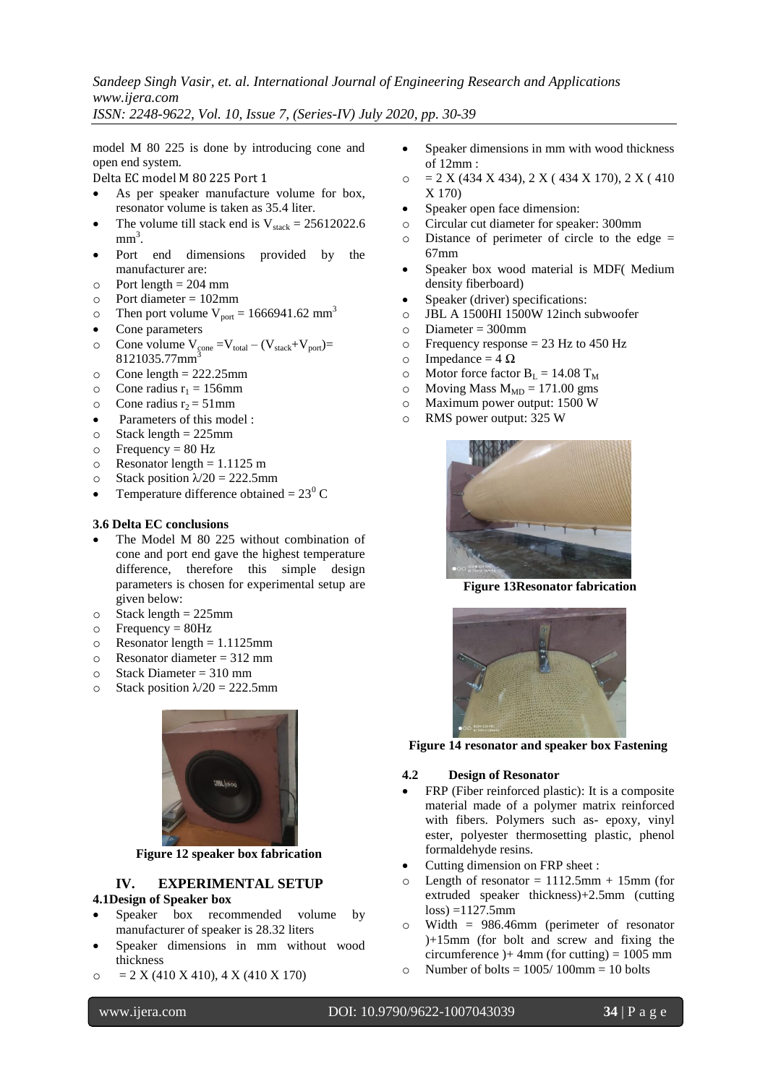*Sandeep Singh Vasir, et. al. International Journal of Engineering Research and Applications www.ijera.com*

*ISSN: 2248-9622, Vol. 10, Issue 7, (Series-IV) July 2020, pp. 30-39*

model M 80 225 is done by introducing cone and open end system.

Delta EC model M 80 225 Port 1

- As per speaker manufacture volume for box, resonator volume is taken as 35.4 liter.
- The volume till stack end is  $V_{\text{stack}} = 25612022.6$  $mm<sup>3</sup>$ .
- Port end dimensions provided by the manufacturer are:
- $\circ$  Port length = 204 mm
- o Port diameter = 102mm
- $\degree$  Then port volume V<sub>port</sub> = 1666941.62 mm<sup>3</sup>
- Cone parameters
- o Cone volume  $V_{\text{cone}} = V_{\text{total}} (V_{\text{stack}} + V_{\text{port}})$ 8121035.77mm<sup>3</sup>
- $\circ$  Cone length = 222.25mm
- $\circ$  Cone radius  $r_1 = 156$ mm
- $\circ$  Cone radius r<sub>2</sub> = 51mm
- Parameters of this model :
- $\circ$  Stack length = 225mm
- $\circ$  Frequency = 80 Hz
- $\circ$  Resonator length = 1.1125 m
- o Stack position  $\lambda/20 = 222.5$ mm
- Temperature difference obtained =  $23^{\circ}$  C

#### **3.6 Delta EC conclusions**

- The Model M 80 225 without combination of cone and port end gave the highest temperature difference, therefore this simple design parameters is chosen for experimental setup are given below:
- $\circ$  Stack length = 225mm
- $\circ$  Frequency = 80Hz
- $\circ$  Resonator length = 1.1125mm
- $\circ$  Resonator diameter = 312 mm
- $\circ$  Stack Diameter = 310 mm
- o Stack position  $\lambda/20 = 222.5$ mm



**Figure 12 speaker box fabrication**

# **IV. EXPERIMENTAL SETUP**

## **4.1Design of Speaker box**

- Speaker box recommended volume by manufacturer of speaker is 28.32 liters
- Speaker dimensions in mm without wood thickness
- $\circ$  = 2 X (410 X 410), 4 X (410 X 170)
- Speaker dimensions in mm with wood thickness of 12mm :
- $\circ$  = 2 X (434 X 434), 2 X (434 X 170), 2 X (410) X 170)
- Speaker open face dimension:
- o Circular cut diameter for speaker: 300mm
- $\circ$  Distance of perimeter of circle to the edge  $=$ 67mm
- Speaker box wood material is MDF( Medium density fiberboard)
- Speaker (driver) specifications:
- o JBL A 1500HI 1500W 12inch subwoofer
- $\circ$  Diameter = 300mm
- o Frequency response = 23 Hz to 450 Hz
- o Impedance =  $4 \Omega$
- o Motor force factor  $B_L = 14.08$  T<sub>M</sub>
- o Moving Mass  $M_{MD} = 171.00$  gms
- o Maximum power output: 1500 W
- o RMS power output: 325 W



**Figure 13Resonator fabrication**



**Figure 14 resonator and speaker box Fastening**

#### **4.2 Design of Resonator**

- FRP (Fiber reinforced plastic): It is a composite material made of a polymer matrix reinforced with fibers. Polymers such as- epoxy, vinyl ester, polyester thermosetting plastic, phenol formaldehyde resins.
- Cutting dimension on FRP sheet :
- Length of resonator =  $1112.5$ mm + 15mm (for extruded speaker thickness)+2.5mm (cutting  $loss) = 1127.5mm$
- o Width = 986.46mm (perimeter of resonator )+15mm (for bolt and screw and fixing the circumference  $)+$  4mm (for cutting) = 1005 mm
- $\circ$  Number of bolts = 1005/100mm = 10 bolts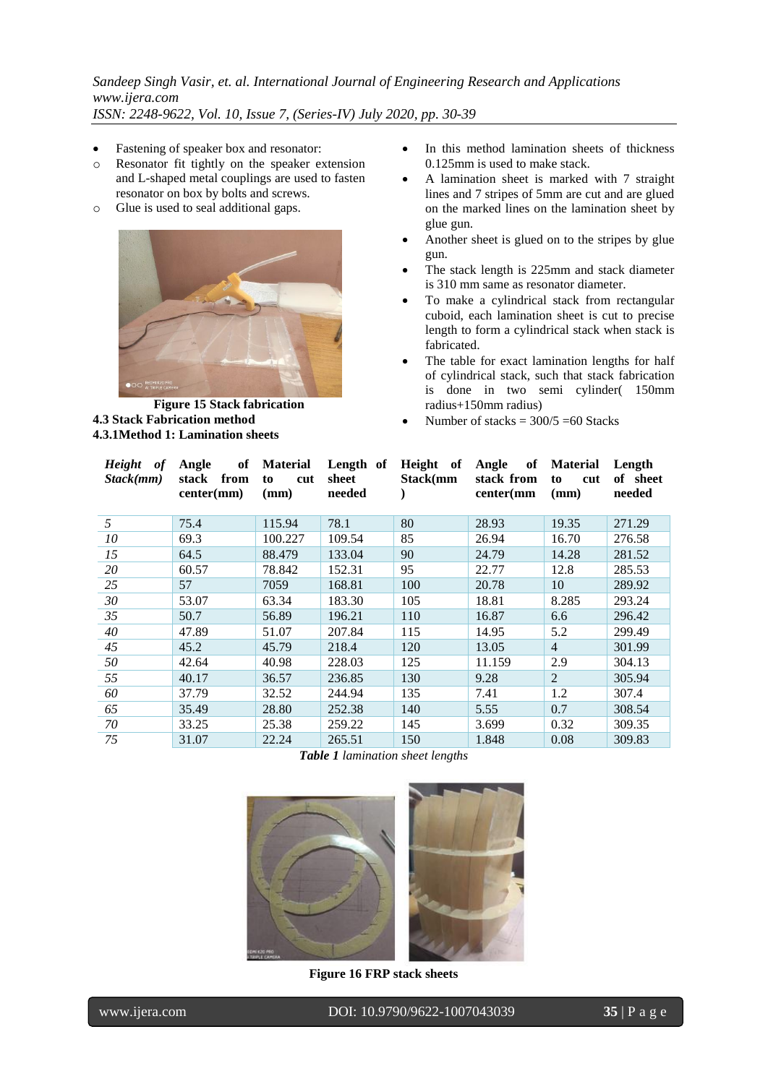- Fastening of speaker box and resonator:
- o Resonator fit tightly on the speaker extension and L-shaped metal couplings are used to fasten resonator on box by bolts and screws.
- o Glue is used to seal additional gaps.



**Figure 15 Stack fabrication 4.3 Stack Fabrication method 4.3.1Method 1: Lamination sheets**

- In this method lamination sheets of thickness 0.125mm is used to make stack.
- A lamination sheet is marked with 7 straight lines and 7 stripes of 5mm are cut and are glued on the marked lines on the lamination sheet by glue gun.
- Another sheet is glued on to the stripes by glue gun.
- The stack length is 225mm and stack diameter is 310 mm same as resonator diameter.
- To make a cylindrical stack from rectangular cuboid, each lamination sheet is cut to precise length to form a cylindrical stack when stack is fabricated.
- The table for exact lamination lengths for half of cylindrical stack, such that stack fabrication is done in two semi cylinder( 150mm radius+150mm radius)
- Number of stacks  $= 300/5 = 60$  Stacks

| Height of<br>Stack(mm) | Angle<br>stack from<br>center(mm) | of Material<br>cut<br>to<br>(mm) | Length of<br>sheet<br>needed | Height of<br>Stack(mm | Angle of<br>stack from<br>center(mm) | Material<br>to<br>cut<br>(mm) | Length<br>of sheet<br>needed |
|------------------------|-----------------------------------|----------------------------------|------------------------------|-----------------------|--------------------------------------|-------------------------------|------------------------------|
| 5                      | 75.4                              | 115.94                           | 78.1                         | 80                    | 28.93                                | 19.35                         | 271.29                       |
| 10                     | 69.3                              | 100.227                          | 109.54                       | 85                    | 26.94                                | 16.70                         | 276.58                       |
| 15                     | 64.5                              | 88.479                           | 133.04                       | 90                    | 24.79                                | 14.28                         | 281.52                       |
| 20                     | 60.57                             | 78.842                           | 152.31                       | 95                    | 22.77                                | 12.8                          | 285.53                       |
| 25                     | 57                                | 7059                             | 168.81                       | 100                   | 20.78                                | 10                            | 289.92                       |
| 30                     | 53.07                             | 63.34                            | 183.30                       | 105                   | 18.81                                | 8.285                         | 293.24                       |
| 35                     | 50.7                              | 56.89                            | 196.21                       | 110                   | 16.87                                | 6.6                           | 296.42                       |
| 40                     | 47.89                             | 51.07                            | 207.84                       | 115                   | 14.95                                | 5.2                           | 299.49                       |
| 45                     | 45.2                              | 45.79                            | 218.4                        | 120                   | 13.05                                | $\overline{4}$                | 301.99                       |
| 50                     | 42.64                             | 40.98                            | 228.03                       | 125                   | 11.159                               | 2.9                           | 304.13                       |
| 55                     | 40.17                             | 36.57                            | 236.85                       | 130                   | 9.28                                 | 2                             | 305.94                       |
| 60                     | 37.79                             | 32.52                            | 244.94                       | 135                   | 7.41                                 | 1.2                           | 307.4                        |
| 65                     | 35.49                             | 28.80                            | 252.38                       | 140                   | 5.55                                 | 0.7                           | 308.54                       |
| 70                     | 33.25                             | 25.38                            | 259.22                       | 145                   | 3.699                                | 0.32                          | 309.35                       |
| 75                     | 31.07                             | 22.24                            | 265.51                       | 150                   | 1.848                                | 0.08                          | 309.83                       |

*Table 1 lamination sheet lengths*



**Figure 16 FRP stack sheets**

י

www.ijera.com DOI: 10.9790/9622-1007043039 **35** | P a g e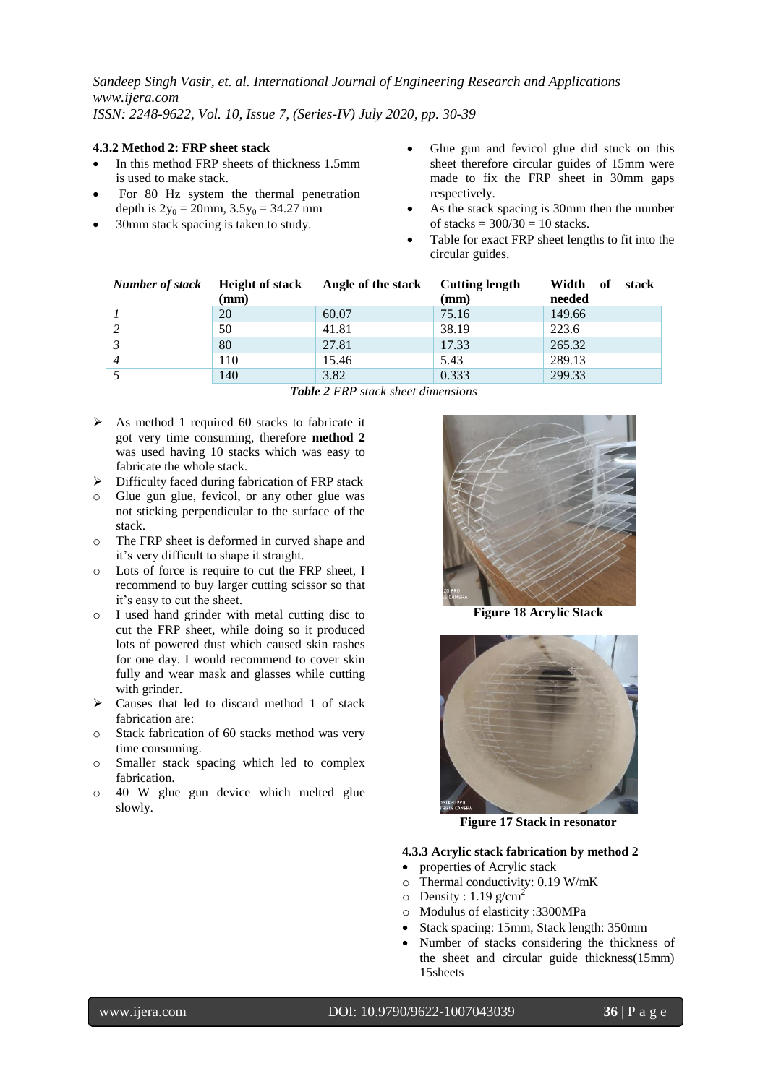#### **4.3.2 Method 2: FRP sheet stack**

- In this method FRP sheets of thickness 1.5mm is used to make stack.
- For 80 Hz system the thermal penetration depth is  $2y_0 = 20$ mm,  $3.5y_0 = 34.27$  mm
- 30mm stack spacing is taken to study.
- Glue gun and fevicol glue did stuck on this sheet therefore circular guides of 15mm were made to fix the FRP sheet in 30mm gaps respectively.
- As the stack spacing is 30mm then the number of stacks  $= 300/30 = 10$  stacks.
- Table for exact FRP sheet lengths to fit into the circular guides.

| Number of stack Height of stack |                 | Angle of the stack | <b>Cutting length</b> | Width<br>of<br>stack |
|---------------------------------|-----------------|--------------------|-----------------------|----------------------|
|                                 | $(\mathbf{mm})$ |                    | (mm)                  | needed               |
|                                 | 20              | 60.07              | 75.16                 | 149.66               |
|                                 | 50              | 41.81              | 38.19                 | 223.6                |
|                                 | 80              | 27.81              | 17.33                 | 265.32               |
|                                 | 110             | 15.46              | 5.43                  | 289.13               |
|                                 | 140             | 3.82               | 0.333                 | 299.33               |

*Table 2 FRP stack sheet dimensions*

- $\triangleright$  As method 1 required 60 stacks to fabricate it got very time consuming, therefore **method 2**  was used having 10 stacks which was easy to fabricate the whole stack.
- $\triangleright$  Difficulty faced during fabrication of FRP stack
- o Glue gun glue, fevicol, or any other glue was not sticking perpendicular to the surface of the stack.
- o The FRP sheet is deformed in curved shape and it's very difficult to shape it straight.
- o Lots of force is require to cut the FRP sheet, I recommend to buy larger cutting scissor so that it's easy to cut the sheet.
- o I used hand grinder with metal cutting disc to cut the FRP sheet, while doing so it produced lots of powered dust which caused skin rashes for one day. I would recommend to cover skin fully and wear mask and glasses while cutting with grinder.
- $\triangleright$  Causes that led to discard method 1 of stack fabrication are:
- o Stack fabrication of 60 stacks method was very time consuming.
- o Smaller stack spacing which led to complex fabrication.
- o 40 W glue gun device which melted glue slowly.



**Figure 18 Acrylic Stack**



**Figure 17 Stack in resonator**

## **4.3.3 Acrylic stack fabrication by method 2**

- properties of Acrylic stack
- o Thermal conductivity: 0.19 W/mK
- $\circ$  Density : 1.19 g/cm<sup>2</sup>
- o Modulus of elasticity :3300MPa
- Stack spacing: 15mm, Stack length: 350mm
- Number of stacks considering the thickness of the sheet and circular guide thickness(15mm) 15sheets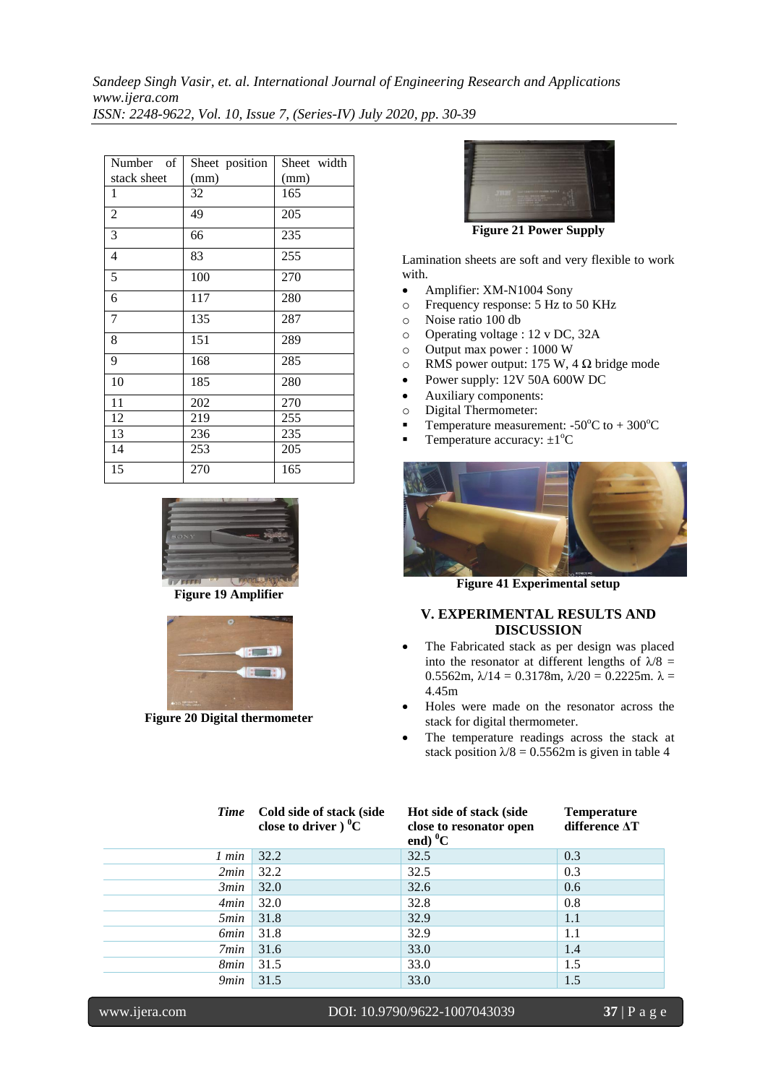| of<br>Number   | Sheet position | Sheet width |
|----------------|----------------|-------------|
| stack sheet    | (mm)           | (mm)        |
| 1              | 32             | 165         |
| $\overline{2}$ | 49             | 205         |
| 3              | 66             | 235         |
| 4              | 83             | 255         |
| 5              | 100            | 270         |
| 6              | 117            | 280         |
| 7              | 135            | 287         |
| 8              | 151            | 289         |
| 9              | 168            | 285         |
| 10             | 185            | 280         |
| 11             | 202            | 270         |
| 12             | 219            | 255         |
| 13             | 236            | 235         |
| 14             | 253            | 205         |
| 15             | 270            | 165         |



**Figure 19 Amplifier**



**Figure 20 Digital thermometer**



**Figure 21 Power Supply**

Lamination sheets are soft and very flexible to work with.

- Amplifier: XM-N1004 Sony
- o Frequency response: 5 Hz to 50 KHz
- o Noise ratio 100 db
- o Operating voltage : 12 v DC, 32A
- o Output max power : 1000 W
- o RMS power output: 175 W, 4  $\Omega$  bridge mode
- Power supply: 12V 50A 600W DC
- Auxiliary components:
- o Digital Thermometer:
- **Temperature measurement:**  $-50^{\circ}$ C to  $+300^{\circ}$ C
- **Temperature accuracy:**  $\pm 1^{\circ}C$



**Figure 41 Experimental setup**

# **V. EXPERIMENTAL RESULTS AND DISCUSSION**

- The Fabricated stack as per design was placed into the resonator at different lengths of  $\lambda/8$  = 0.5562m,  $\lambda$ /14 = 0.3178m,  $\lambda$ /20 = 0.2225m.  $\lambda$  = 4.45m
- Holes were made on the resonator across the stack for digital thermometer.
- The temperature readings across the stack at stack position  $\lambda/8 = 0.5562$ m is given in table 4

| <b>Time</b>               | Cold side of stack (side<br>close to driver $C$ | Hot side of stack (side<br>close to resonator open<br>end) $^{0}C$ | <b>Temperature</b><br>difference $\Delta T$ |
|---------------------------|-------------------------------------------------|--------------------------------------------------------------------|---------------------------------------------|
| 1 min                     | 32.2                                            | 32.5                                                               | 0.3                                         |
| 2min                      | 32.2                                            | 32.5                                                               | 0.3                                         |
| 3min                      | 32.0                                            | 32.6                                                               | 0.6                                         |
| 4min                      | 32.0                                            | 32.8                                                               | 0.8                                         |
| <i><b>5min</b></i>        | 31.8                                            | 32.9                                                               | 1.1                                         |
| <i><u><b>6min</b></u></i> | 31.8                                            | 32.9                                                               | 1.1                                         |
| 7min                      | 31.6                                            | 33.0                                                               | 1.4                                         |
| 8min                      | 31.5                                            | 33.0                                                               | 1.5                                         |
| 9min                      | 31.5                                            | 33.0                                                               | 1.5                                         |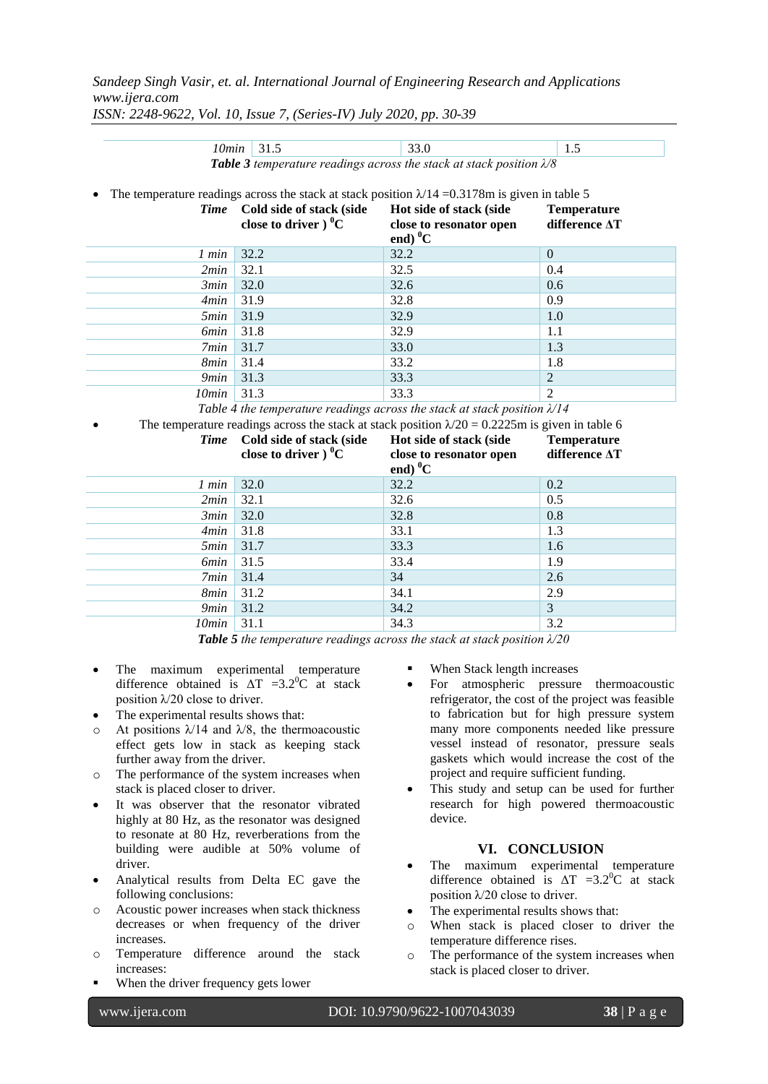*Sandeep Singh Vasir, et. al. International Journal of Engineering Research and Applications www.ijera.com*

*ISSN: 2248-9622, Vol. 10, Issue 7, (Series-IV) July 2020, pp. 30-39*

| 10min                     | 31.5                          | 33.0                                                                                                    | 1.5                |
|---------------------------|-------------------------------|---------------------------------------------------------------------------------------------------------|--------------------|
|                           |                               | Table 3 temperature readings across the stack at stack position $\lambda$ 8                             |                    |
|                           |                               |                                                                                                         |                    |
|                           |                               | The temperature readings across the stack at stack position $\lambda/14 = 0.3178$ m is given in table 5 |                    |
| <b>Time</b>               | Cold side of stack (side      | Hot side of stack (side                                                                                 | <b>Temperature</b> |
|                           | close to driver $0^{\circ}$ C | close to resonator open                                                                                 | difference AT      |
|                           |                               | end) $^{0}C$                                                                                            |                    |
| 1 min                     | 32.2                          | 32.2                                                                                                    | $\mathbf{0}$       |
| 2min                      | 32.1                          | 32.5                                                                                                    | 0.4                |
| 3min                      | 32.0                          | 32.6                                                                                                    | 0.6                |
| 4min                      | 31.9                          | 32.8                                                                                                    | 0.9                |
| 5min                      | 31.9                          | 32.9                                                                                                    | 1.0                |
| <b>6min</b>               | 31.8                          | 32.9                                                                                                    | 1.1                |
| 7min                      | 31.7                          | 33.0                                                                                                    | 1.3                |
| 8 <sub>min</sub>          | 31.4                          | 33.2                                                                                                    | 1.8                |
| 9min                      | 31.3                          | 33.3                                                                                                    | $\overline{2}$     |
| 10min                     | 31.3                          | 33.3                                                                                                    | $\mathfrak{D}$     |
|                           |                               | Table 4 the temperature readings across the stack at stack position $\lambda/14$                        |                    |
|                           |                               | The temperature readings across the stack at stack position $\lambda/20 = 0.2225$ m is given in table 6 |                    |
| <b>Time</b>               | Cold side of stack (side      | Hot side of stack (side                                                                                 | <b>Temperature</b> |
|                           | close to driver $0^{\circ}$ C | close to resonator open                                                                                 | difference AT      |
|                           |                               | end) $^{0}C$                                                                                            |                    |
| 1 min                     | 32.0                          | 32.2                                                                                                    | 0.2                |
| 2min                      | 32.1                          | 32.6                                                                                                    | 0.5                |
|                           |                               |                                                                                                         |                    |
| 3min                      | 32.0                          | 32.8                                                                                                    | 0.8                |
| 4min                      | 31.8                          | 33.1                                                                                                    | 1.3                |
| 5min                      | 31.7                          | 33.3                                                                                                    | 1.6                |
| <i><u><b>6min</b></u></i> | 31.5                          | 33.4                                                                                                    | 1.9                |
| 7min                      | 31.4                          | 34                                                                                                      | 2.6                |
| 8min                      | 31.2                          | 34.1                                                                                                    | 2.9                |
| 9min                      | 31.2                          | 34.2                                                                                                    | 3                  |
| 10min                     | 31.1                          | 34.3                                                                                                    | 3.2                |

*Table 5 the temperature readings across the stack at stack position λ/20*

- The maximum experimental temperature difference obtained is  $\Delta T = 3.2^{\circ}C$  at stack position  $\lambda$ /20 close to driver.
- The experimental results shows that:
- o At positions  $\lambda/14$  and  $\lambda/8$ , the thermoacoustic effect gets low in stack as keeping stack further away from the driver.
- o The performance of the system increases when stack is placed closer to driver.
- It was observer that the resonator vibrated highly at 80 Hz, as the resonator was designed to resonate at 80 Hz, reverberations from the building were audible at 50% volume of driver.
- Analytical results from Delta EC gave the following conclusions:
- o Acoustic power increases when stack thickness decreases or when frequency of the driver increases.
- o Temperature difference around the stack increases:
- When the driver frequency gets lower
- When Stack length increases
- For atmospheric pressure thermoacoustic refrigerator, the cost of the project was feasible to fabrication but for high pressure system many more components needed like pressure vessel instead of resonator, pressure seals gaskets which would increase the cost of the project and require sufficient funding.
- This study and setup can be used for further research for high powered thermoacoustic device.

## **VI. CONCLUSION**

- The maximum experimental temperature difference obtained is  $\Delta T = 3.2^{\circ}C$  at stack position  $\lambda$ /20 close to driver.
- The experimental results shows that:
- o When stack is placed closer to driver the temperature difference rises.
- o The performance of the system increases when stack is placed closer to driver.